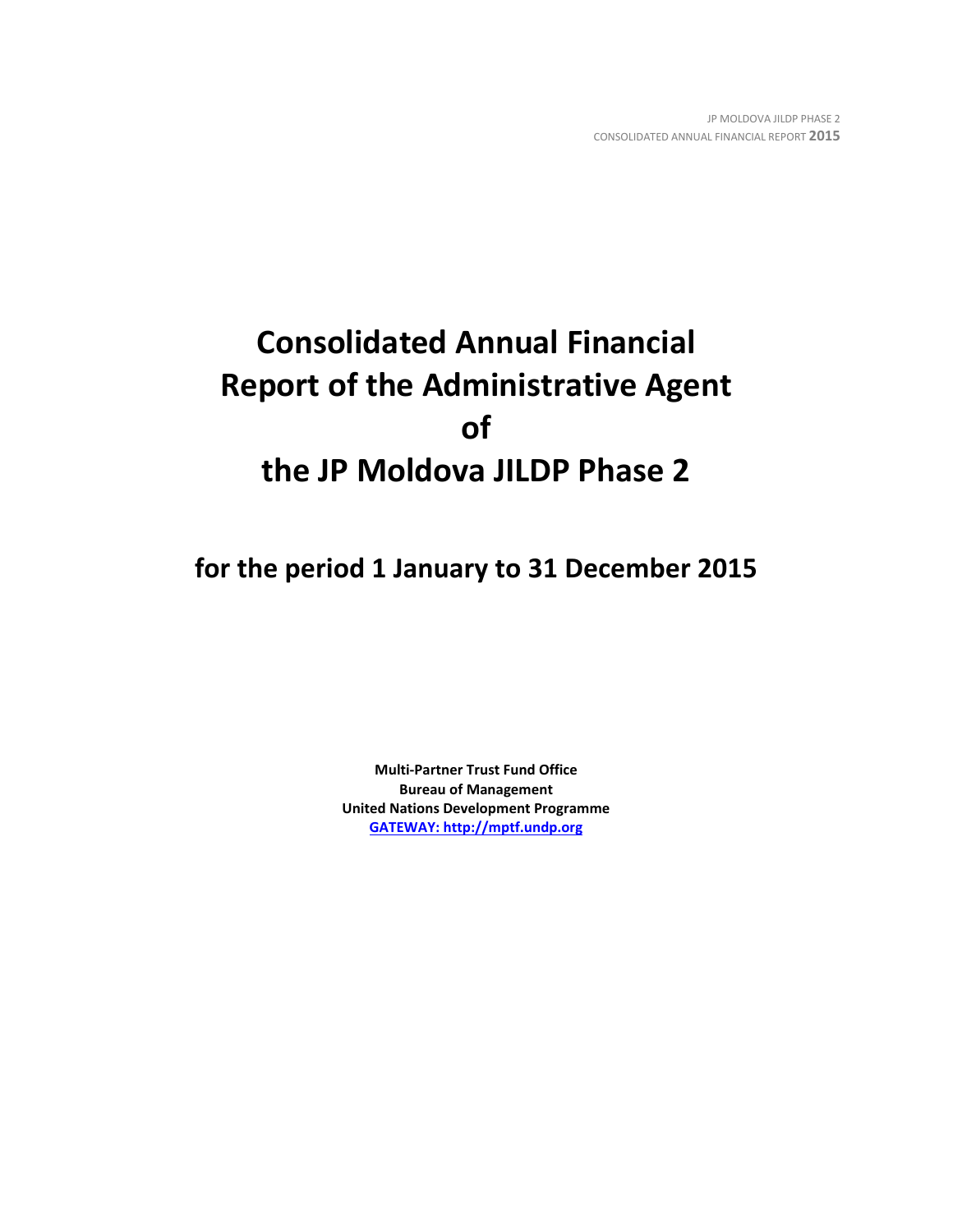# **Consolidated Annual Financial Report of the Administrative Agent of the JP Moldova JILDP Phase 2**

**for the period 1 January to 31 December 2015**

**Multi-Partner Trust Fund Office Bureau of Management United Nations Development Programme [GATEWAY: http://mptf.undp.org](http://mptf.undp.org/)**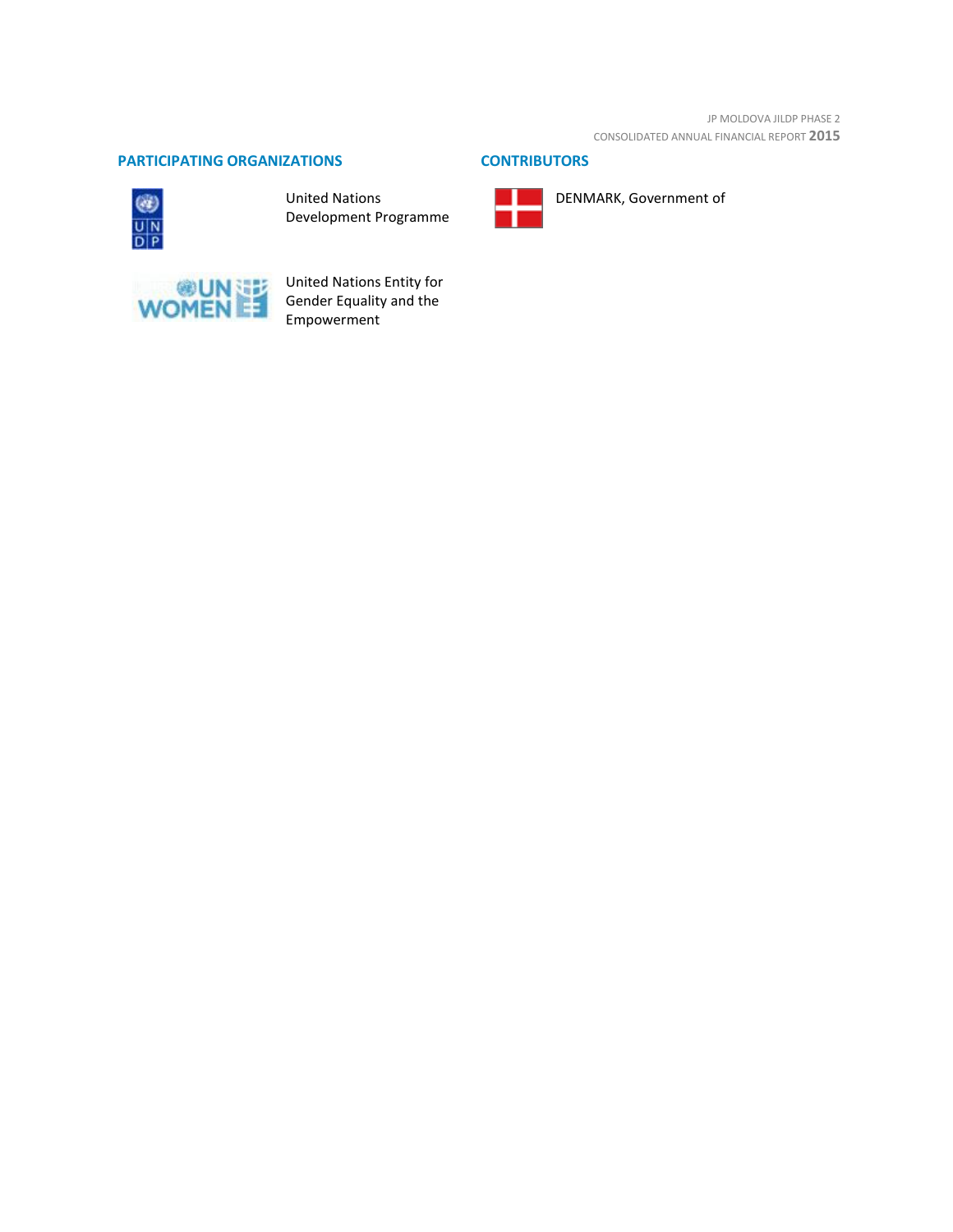JP MOLDOVA JILDP PHASE 2 CONSOLIDATED ANNUAL FINANCIAL REPORT **2015**

## **PARTICIPATING ORGANIZATIONS CONTRIBUTORS**



United Nations Development Programme





DENMARK, Government of



United Nations Entity for Gender Equality and the Empowerment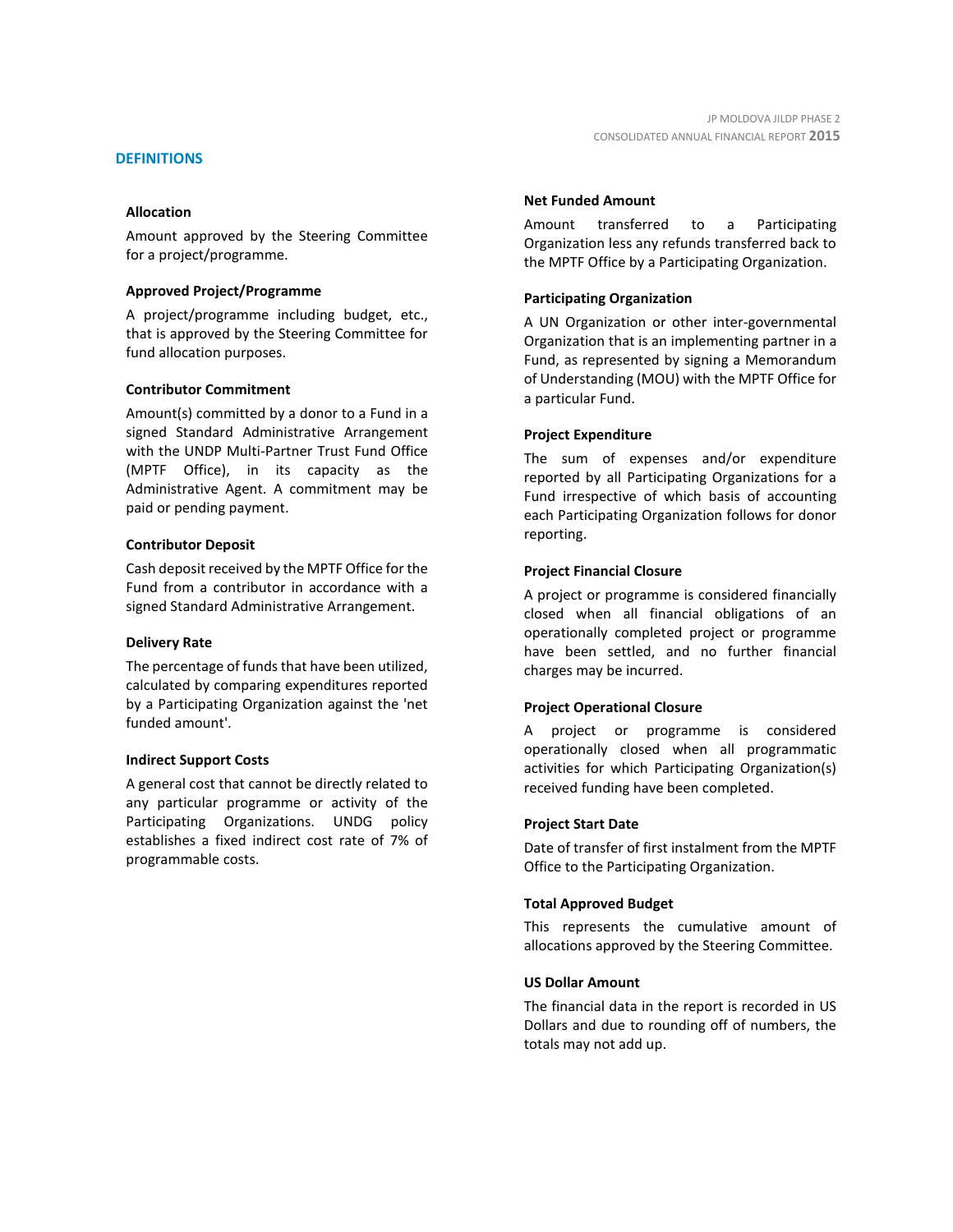#### **DEFINITIONS**

#### **Allocation**

Amount approved by the Steering Committee for a project/programme.

#### **Approved Project/Programme**

A project/programme including budget, etc., that is approved by the Steering Committee for fund allocation purposes.

#### **Contributor Commitment**

Amount(s) committed by a donor to a Fund in a signed Standard Administrative Arrangement with the UNDP Multi-Partner Trust Fund Office (MPTF Office), in its capacity as the Administrative Agent. A commitment may be paid or pending payment.

#### **Contributor Deposit**

Cash deposit received by the MPTF Office for the Fund from a contributor in accordance with a signed Standard Administrative Arrangement.

#### **Delivery Rate**

The percentage of funds that have been utilized, calculated by comparing expenditures reported by a Participating Organization against the 'net funded amount'.

#### **Indirect Support Costs**

A general cost that cannot be directly related to any particular programme or activity of the Participating Organizations. UNDG policy establishes a fixed indirect cost rate of 7% of programmable costs.

#### **Net Funded Amount**

Amount transferred to a Participating Organization less any refunds transferred back to the MPTF Office by a Participating Organization.

#### **Participating Organization**

A UN Organization or other inter-governmental Organization that is an implementing partner in a Fund, as represented by signing a Memorandum of Understanding (MOU) with the MPTF Office for a particular Fund.

#### **Project Expenditure**

The sum of expenses and/or expenditure reported by all Participating Organizations for a Fund irrespective of which basis of accounting each Participating Organization follows for donor reporting.

#### **Project Financial Closure**

A project or programme is considered financially closed when all financial obligations of an operationally completed project or programme have been settled, and no further financial charges may be incurred.

#### **Project Operational Closure**

A project or programme is considered operationally closed when all programmatic activities for which Participating Organization(s) received funding have been completed.

#### **Project Start Date**

Date of transfer of first instalment from the MPTF Office to the Participating Organization.

#### **Total Approved Budget**

This represents the cumulative amount of allocations approved by the Steering Committee.

#### **US Dollar Amount**

The financial data in the report is recorded in US Dollars and due to rounding off of numbers, the totals may not add up.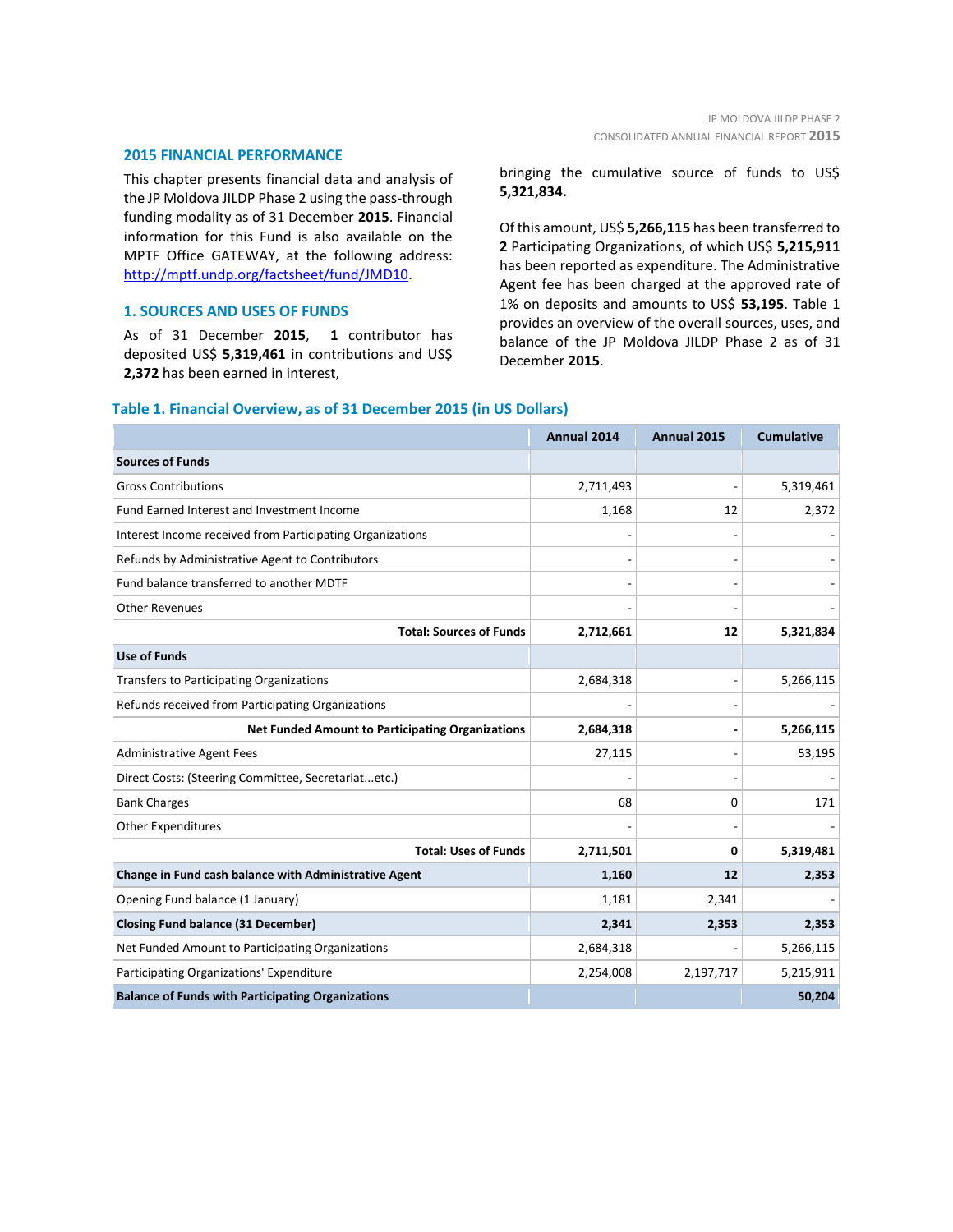#### **2015 FINANCIAL PERFORMANCE**

This chapter presents financial data and analysis of the JP Moldova JILDP Phase 2 using the pass-through funding modality as of 31 December **2015**. Financial information for this Fund is also available on the MPTF Office GATEWAY, at the following address: [http://mptf.undp.org/factsheet/fund/JMD10.](http://mptf.undp.org/factsheet/fund/JMD10)

## **1. SOURCES AND USES OF FUNDS**

As of 31 December **2015**, **1** contributor has deposited US\$ **5,319,461** in contributions and US\$ **2,372** has been earned in interest,

bringing the cumulative source of funds to US\$ **5,321,834.**

Of this amount, US\$ **5,266,115** has been transferred to **2** Participating Organizations, of which US\$ **5,215,911** has been reported as expenditure. The Administrative Agent fee has been charged at the approved rate of 1% on deposits and amounts to US\$ **53,195**. Table 1 provides an overview of the overall sources, uses, and balance of the JP Moldova JILDP Phase 2 as of 31 December **2015**.

## **Annual 2014 Annual 2015 Cumulative Sources of Funds** Gross Contributions 2,711,493 - 5,319,461 Fund Earned Interest and Investment Income 1,168 1,168 1,168 12 2,372 Interest Income received from Participating Organizations - - - Refunds by Administrative Agent to Contributors and the contributors of the contributors of the contributors of the contributors of the contributors of the contributors of the contributors of the contributors of the contri Fund balance transferred to another MDTF Other Revenues - - - **Total: Sources of Funds 2,712,661 12 5,321,834 Use of Funds** Transfers to Participating Organizations  $\vert$  2,684,318  $\vert$  5,266,115  $\vert$  5,266,115 Refunds received from Participating Organizations **Net Funded Amount to Participating Organizations 2,684,318 - 5,266,115** Administrative Agent Fees 27,115 - 53,195 Direct Costs: (Steering Committee, Secretariat...etc.) Bank Charges and the contract of the contract of the contract of the contract of the contract of the contract of the contract of the contract of the contract of the contract of the contract of the contract of the contract Other Expenditures **Total: Uses of Funds 2,711,501 0 5,319,481 Change in Fund cash balance with Administrative Agent 1,160 12 2,353** Opening Fund balance (1 January) 1,181 2,341 2,341 **Closing Fund balance (31 December) 2,341 2,353 2,353** Net Funded Amount to Participating Organizations 2,684,318 3 2,684,318 Participating Organizations' Expenditure 2,254,008 2,254,008 2,197,717 5,215,911 **Balance of Funds with Participating Organizations 50,204**

#### **Table 1. Financial Overview, as of 31 December 2015 (in US Dollars)**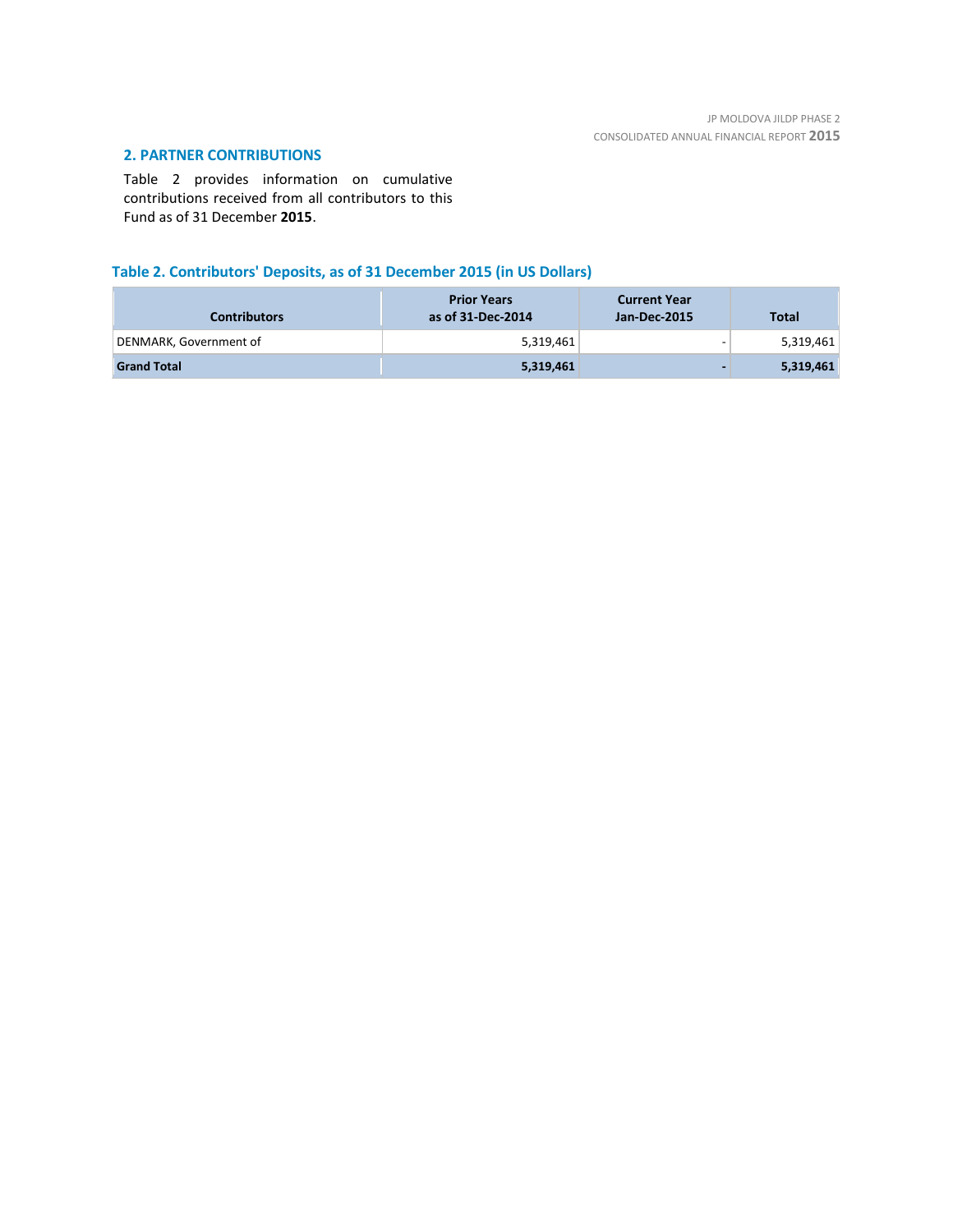## **2. PARTNER CONTRIBUTIONS**

Table 2 provides information on cumulative contributions received from all contributors to this Fund as of 31 December **2015**.

## **Table 2. Contributors' Deposits, as of 31 December 2015 (in US Dollars)**

| <b>Contributors</b>    | <b>Prior Years</b><br>as of 31-Dec-2014 | <b>Current Year</b><br>Jan-Dec-2015 | <b>Total</b> |
|------------------------|-----------------------------------------|-------------------------------------|--------------|
| DENMARK, Government of | 5,319,461                               | -                                   | 5,319,461    |
| <b>Grand Total</b>     | 5,319,461                               |                                     | 5,319,461    |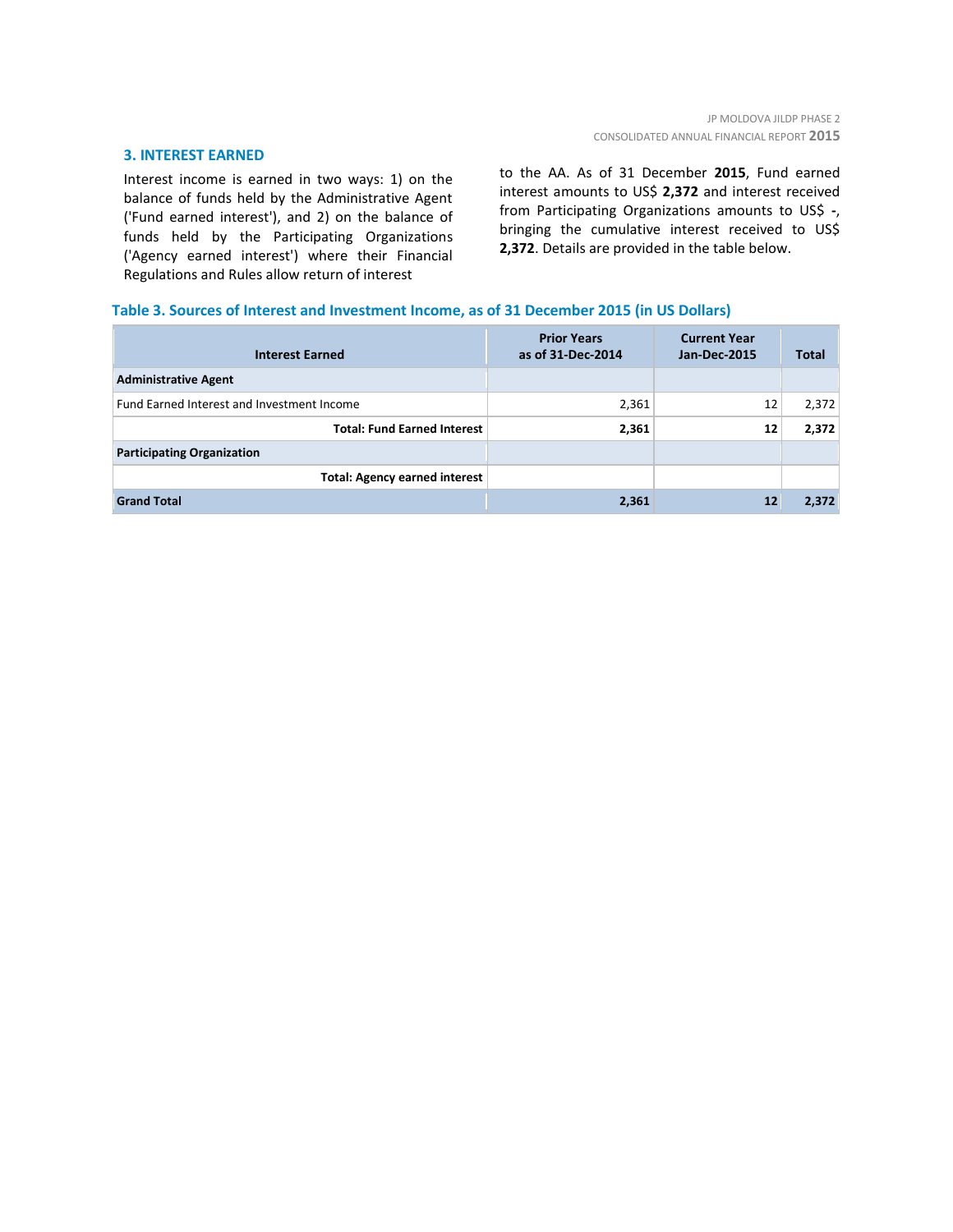#### **3. INTEREST EARNED**

Interest income is earned in two ways: 1) on the balance of funds held by the Administrative Agent ('Fund earned interest'), and 2) on the balance of funds held by the Participating Organizations ('Agency earned interest') where their Financial Regulations and Rules allow return of interest

to the AA. As of 31 December **2015**, Fund earned interest amounts to US\$ **2,372** and interest received from Participating Organizations amounts to US\$ **-**, bringing the cumulative interest received to US\$ **2,372**. Details are provided in the table below.

#### **Table 3. Sources of Interest and Investment Income, as of 31 December 2015 (in US Dollars)**

| <b>Interest Earned</b>                     | <b>Prior Years</b><br>as of 31-Dec-2014 | <b>Current Year</b><br><b>Jan-Dec-2015</b> | <b>Total</b> |
|--------------------------------------------|-----------------------------------------|--------------------------------------------|--------------|
| <b>Administrative Agent</b>                |                                         |                                            |              |
| Fund Earned Interest and Investment Income | 2,361                                   | 12                                         | 2,372        |
| <b>Total: Fund Earned Interest</b>         | 2,361                                   | 12                                         | 2,372        |
| <b>Participating Organization</b>          |                                         |                                            |              |
| <b>Total: Agency earned interest</b>       |                                         |                                            |              |
| <b>Grand Total</b>                         | 2,361                                   | 12                                         | 2,372        |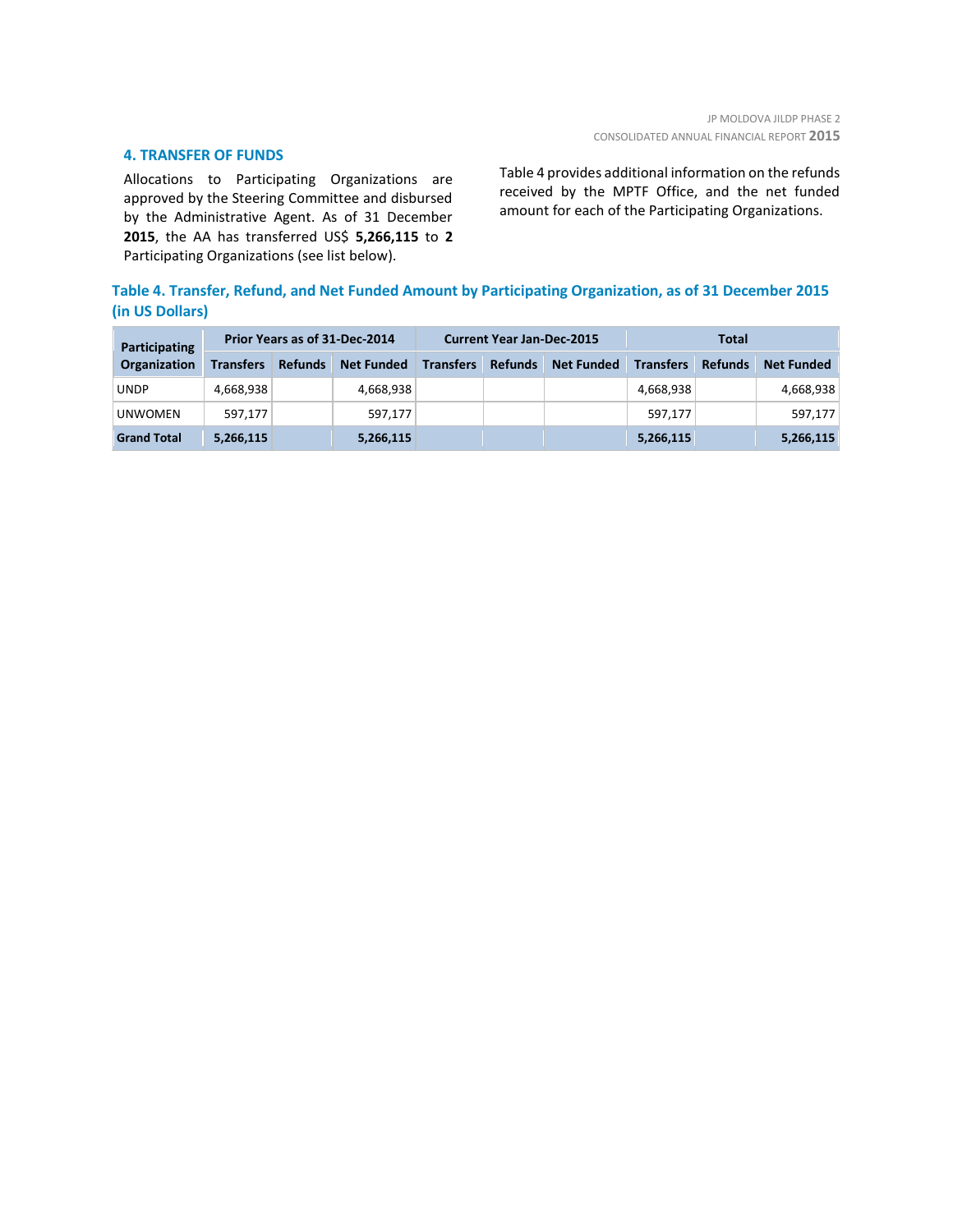#### **4. TRANSFER OF FUNDS**

Allocations to Participating Organizations are approved by the Steering Committee and disbursed by the Administrative Agent. As of 31 December **2015**, the AA has transferred US\$ **5,266,115** to **2** Participating Organizations (see list below).

Table 4 provides additional information on the refunds received by the MPTF Office, and the net funded amount for each of the Participating Organizations.

## **Table 4. Transfer, Refund, and Net Funded Amount by Participating Organization, as of 31 December 2015 (in US Dollars)**

| <b>Participating</b> | Prior Years as of 31-Dec-2014 |                |                   | <b>Current Year Jan-Dec-2015</b> |                |                   | Total            |                |                   |
|----------------------|-------------------------------|----------------|-------------------|----------------------------------|----------------|-------------------|------------------|----------------|-------------------|
| <b>Organization</b>  | <b>Transfers</b>              | <b>Refunds</b> | <b>Net Funded</b> | <b>Transfers</b>                 | <b>Refunds</b> | <b>Net Funded</b> | <b>Transfers</b> | <b>Refunds</b> | <b>Net Funded</b> |
| <b>UNDP</b>          | 4,668,938                     |                | 4,668,938         |                                  |                |                   | 4,668,938        |                | 4,668,938         |
| <b>UNWOMEN</b>       | 597.177                       |                | 597,177           |                                  |                |                   | 597.177          |                | 597,177           |
| <b>Grand Total</b>   | 5,266,115                     |                | 5,266,115         |                                  |                |                   | 5,266,115        |                | 5,266,115         |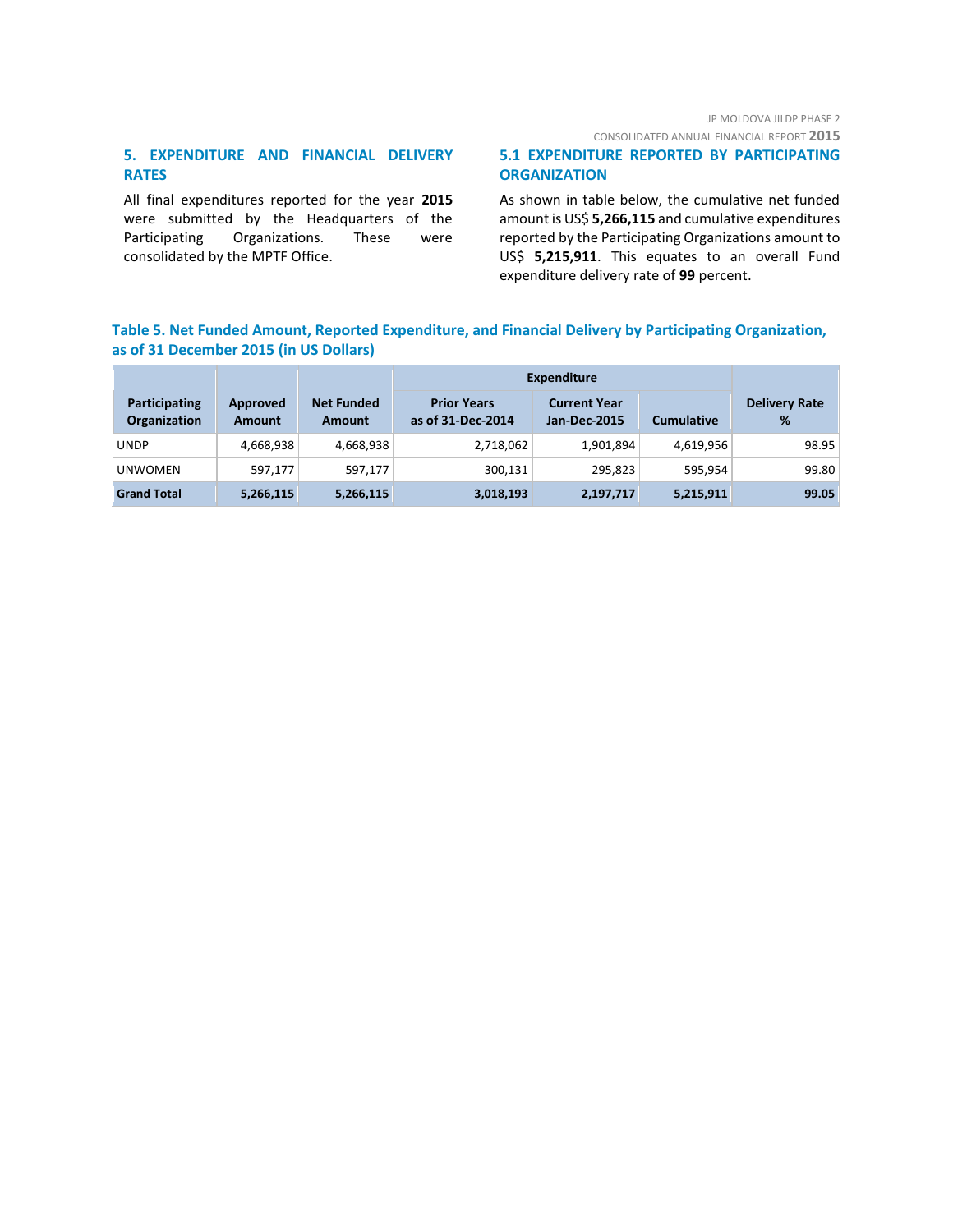## JP MOLDOVA JILDP PHASE 2

CONSOLIDATED ANNUAL FINANCIAL REPORT **2015**

## **5. EXPENDITURE AND FINANCIAL DELIVERY RATES**

All final expenditures reported for the year **2015** were submitted by the Headquarters of the Participating Organizations. These were consolidated by the MPTF Office.

### **5.1 EXPENDITURE REPORTED BY PARTICIPATING ORGANIZATION**

As shown in table below, the cumulative net funded amount is US\$ **5,266,115** and cumulative expenditures reported by the Participating Organizations amount to US\$ **5,215,911**. This equates to an overall Fund expenditure delivery rate of **99** percent.

## **Table 5. Net Funded Amount, Reported Expenditure, and Financial Delivery by Participating Organization, as of 31 December 2015 (in US Dollars)**

|                                      |                           |                             | <b>Expenditure</b>                      |                                            |                   |                           |  |
|--------------------------------------|---------------------------|-----------------------------|-----------------------------------------|--------------------------------------------|-------------------|---------------------------|--|
| Participating<br><b>Organization</b> | Approved<br><b>Amount</b> | <b>Net Funded</b><br>Amount | <b>Prior Years</b><br>as of 31-Dec-2014 | <b>Current Year</b><br><b>Jan-Dec-2015</b> | <b>Cumulative</b> | <b>Delivery Rate</b><br>% |  |
| <b>UNDP</b>                          | 4,668,938                 | 4,668,938                   | 2,718,062                               | 1,901,894                                  | 4,619,956         | 98.95                     |  |
| <b>UNWOMEN</b>                       | 597,177                   | 597.177                     | 300,131                                 | 295,823                                    | 595.954           | 99.80                     |  |
| <b>Grand Total</b>                   | 5,266,115                 | 5,266,115                   | 3,018,193                               | 2,197,717                                  | 5,215,911         | 99.05                     |  |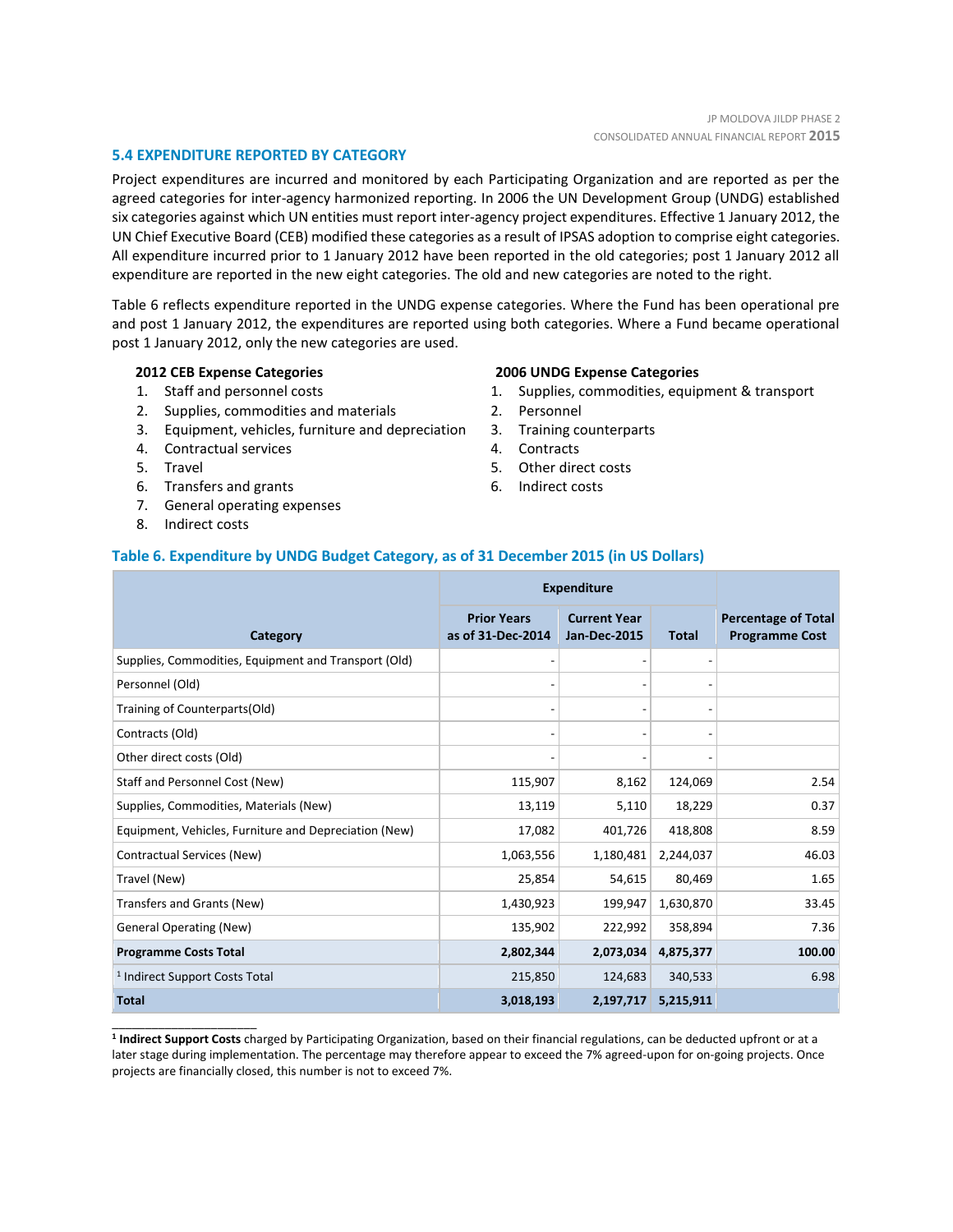#### **5.4 EXPENDITURE REPORTED BY CATEGORY**

Project expenditures are incurred and monitored by each Participating Organization and are reported as per the agreed categories for inter-agency harmonized reporting. In 2006 the UN Development Group (UNDG) established six categories against which UN entities must report inter-agency project expenditures. Effective 1 January 2012, the UN Chief Executive Board (CEB) modified these categories as a result of IPSAS adoption to comprise eight categories. All expenditure incurred prior to 1 January 2012 have been reported in the old categories; post 1 January 2012 all expenditure are reported in the new eight categories. The old and new categories are noted to the right.

Table 6 reflects expenditure reported in the UNDG expense categories. Where the Fund has been operational pre and post 1 January 2012, the expenditures are reported using both categories. Where a Fund became operational post 1 January 2012, only the new categories are used.

#### **2012 CEB Expense Categories**

- 1. Staff and personnel costs
- 2. Supplies, commodities and materials
- 3. Equipment, vehicles, furniture and depreciation
- 4. Contractual services
- 5. Travel
- 6. Transfers and grants
- 7. General operating expenses
- 8. Indirect costs

\_\_\_\_\_\_\_\_\_\_\_\_\_\_\_\_\_\_\_\_\_\_

#### **2006 UNDG Expense Categories**

- 1. Supplies, commodities, equipment & transport
- 2. Personnel
- 3. Training counterparts
- 4. Contracts
- 5. Other direct costs
- 6. Indirect costs

#### **Table 6. Expenditure by UNDG Budget Category, as of 31 December 2015 (in US Dollars)**

|                                                       | <b>Expenditure</b>                      |                                            |              |                                                     |
|-------------------------------------------------------|-----------------------------------------|--------------------------------------------|--------------|-----------------------------------------------------|
| Category                                              | <b>Prior Years</b><br>as of 31-Dec-2014 | <b>Current Year</b><br><b>Jan-Dec-2015</b> | <b>Total</b> | <b>Percentage of Total</b><br><b>Programme Cost</b> |
| Supplies, Commodities, Equipment and Transport (Old)  |                                         |                                            |              |                                                     |
| Personnel (Old)                                       |                                         | $\overline{\phantom{0}}$                   |              |                                                     |
| Training of Counterparts(Old)                         |                                         |                                            |              |                                                     |
| Contracts (Old)                                       |                                         |                                            |              |                                                     |
| Other direct costs (Old)                              |                                         |                                            |              |                                                     |
| Staff and Personnel Cost (New)                        | 115,907                                 | 8,162                                      | 124,069      | 2.54                                                |
| Supplies, Commodities, Materials (New)                | 13,119                                  | 5,110                                      | 18,229       | 0.37                                                |
| Equipment, Vehicles, Furniture and Depreciation (New) | 17,082                                  | 401,726                                    | 418,808      | 8.59                                                |
| Contractual Services (New)                            | 1,063,556                               | 1,180,481                                  | 2,244,037    | 46.03                                               |
| Travel (New)                                          | 25,854                                  | 54,615                                     | 80,469       | 1.65                                                |
| Transfers and Grants (New)                            | 1,430,923                               | 199,947                                    | 1,630,870    | 33.45                                               |
| <b>General Operating (New)</b>                        | 135,902                                 | 222,992                                    | 358,894      | 7.36                                                |
| <b>Programme Costs Total</b>                          | 2,802,344                               | 2,073,034                                  | 4,875,377    | 100.00                                              |
| <sup>1</sup> Indirect Support Costs Total             | 215,850                                 | 124,683                                    | 340,533      | 6.98                                                |
| <b>Total</b>                                          | 3,018,193                               | 2,197,717                                  | 5,215,911    |                                                     |

**1 Indirect Support Costs** charged by Participating Organization, based on their financial regulations, can be deducted upfront or at a later stage during implementation. The percentage may therefore appear to exceed the 7% agreed-upon for on-going projects. Once projects are financially closed, this number is not to exceed 7%.